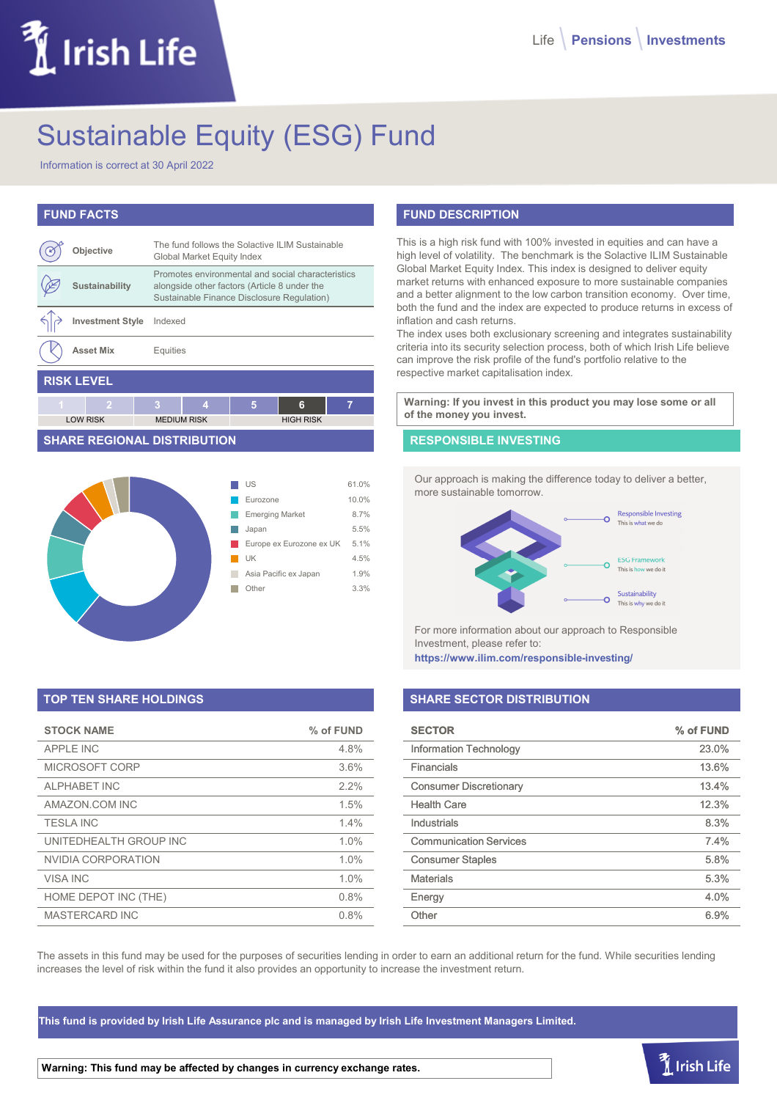# LIrish Life

# Sustainable Equity (ESG) Fund

Information is correct at 30 April 2022

# **FUND FACTS**

|                   | Objective               |   | The fund follows the Solactive ILIM Sustainable<br>Global Market Equity Index                                                                   |   |                  |   |
|-------------------|-------------------------|---|-------------------------------------------------------------------------------------------------------------------------------------------------|---|------------------|---|
|                   | Sustainability          |   | Promotes environmental and social characteristics<br>alongside other factors (Article 8 under the<br>Sustainable Finance Disclosure Regulation) |   |                  |   |
|                   | <b>Investment Style</b> |   | Indexed                                                                                                                                         |   |                  |   |
|                   | <b>Asset Mix</b>        |   | Equities                                                                                                                                        |   |                  |   |
| <b>RISK LEVEL</b> |                         |   |                                                                                                                                                 |   |                  |   |
| 4                 | 2                       | з | 4                                                                                                                                               | 5 | 6                | 7 |
|                   | <b>LOW RISK</b>         |   | <b>MEDIUM RISK</b>                                                                                                                              |   | <b>HIGH RISK</b> |   |

#### **SHARE REGIONAL DISTRIBUTION**



# **TOP TEN SHARE HOLDINGS**

| <b>STOCK NAME</b>      | % of FUND |
|------------------------|-----------|
| <b>APPLE INC</b>       | 4.8%      |
| MICROSOFT CORP         | 3.6%      |
| <b>ALPHABET INC</b>    | 2.2%      |
| AMAZON.COM INC         | 1.5%      |
| <b>TESLA INC</b>       | 1.4%      |
| UNITEDHEALTH GROUP INC | 1.0%      |
| NVIDIA CORPORATION     | 1.0%      |
| <b>VISA INC</b>        | 1.0%      |
| HOME DEPOT INC (THE)   | 0.8%      |
| MASTERCARD INC         | 0.8%      |

# **FUND DESCRIPTION**

This is a high risk fund with 100% invested in equities and can have a high level of volatility. The benchmark is the Solactive ILIM Sustainable Global Market Equity Index. This index is designed to deliver equity market returns with enhanced exposure to more sustainable companies and a better alignment to the low carbon transition economy. Over time, both the fund and the index are expected to produce returns in excess of inflation and cash returns.

The index uses both exclusionary screening and integrates sustainability criteria into its security selection process, both of which Irish Life believe can improve the risk profile of the fund's portfolio relative to the respective market capitalisation index.

**Warning: If you invest in this product you may lose some or all of the money you invest.**

# **RESPONSIBLE INVESTING**

Our approach is making the difference today to deliver a better, more sustainable tomorrow.



For more information about our approach to Responsible Investment, please refer to:

**https://www.ilim.com/responsible-investing/**

# **SHARE SECTOR DISTRIBUTION**

| <b>SECTOR</b>                 | % of FUND |
|-------------------------------|-----------|
| <b>Information Technology</b> | 23.0%     |
| Financials                    | 13.6%     |
| <b>Consumer Discretionary</b> | 13.4%     |
| <b>Health Care</b>            | 12.3%     |
| Industrials                   | 8.3%      |
| <b>Communication Services</b> | 7.4%      |
| <b>Consumer Staples</b>       | 5.8%      |
| <b>Materials</b>              | 5.3%      |
| Energy                        | 4.0%      |
| Other                         | 6.9%      |

 $\tilde{I}$  Irish Life

The assets in this fund may be used for the purposes of securities lending in order to earn an additional return for the fund. While securities lending increases the level of risk within the fund it also provides an opportunity to increase the investment return.

**This fund is provided by Irish Life Assurance plc and is managed by Irish Life Investment Managers Limited.**

**Warning: This fund may be affected by changes in currency exchange rates.**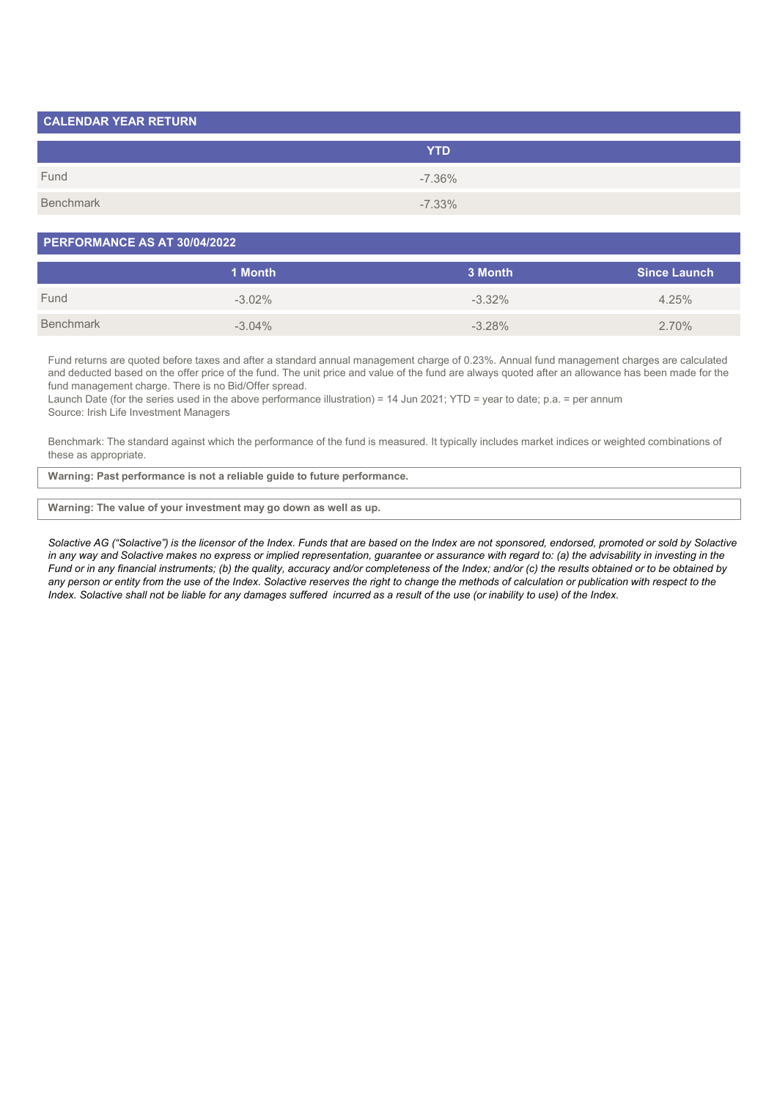| <b>CALENDAR YEAR RETURN</b> |            |  |
|-----------------------------|------------|--|
|                             | <b>YTD</b> |  |
| Fund                        | $-7.36\%$  |  |
| Benchmark                   | $-7.33\%$  |  |

#### **PERFORMANCE AS AT 30/04/2022**

|           | 1 Month   | 3 Month   | <b>Since Launch</b> |
|-----------|-----------|-----------|---------------------|
| Fund      | $-3.02\%$ | $-3.32\%$ | 4.25%               |
| Benchmark | $-3.04\%$ | $-3.28\%$ | 2.70%               |

Fund returns are quoted before taxes and after a standard annual management charge of 0.23%. Annual fund management charges are calculated and deducted based on the offer price of the fund. The unit price and value of the fund are always quoted after an allowance has been made for the fund management charge. There is no Bid/Offer spread.

Launch Date (for the series used in the above performance illustration) = 14 Jun 2021; YTD = year to date; p.a. = per annum Source: Irish Life Investment Managers

Benchmark: The standard against which the performance of the fund is measured. It typically includes market indices or weighted combinations of these as appropriate.

**Warning: Past performance is not a reliable guide to future performance.**

#### **Warning: The value of your investment may go down as well as up.**

*Solactive AG ("Solactive") is the licensor of the Index. Funds that are based on the Index are not sponsored, endorsed, promoted or sold by Solactive* in any way and Solactive makes no express or implied representation, guarantee or assurance with regard to: (a) the advisability in investing in the *Fund or in any financial instruments; (b) the quality, accuracy and/or completeness of the Index; and/or (c) the results obtained or to be obtained by any person or entity from the use of the Index. Solactive reserves the right to change the methods of calculation or publication with respect to the Index. Solactive shall not be liable for any damages suffered incurred as a result of the use (or inability to use) of the Index.*